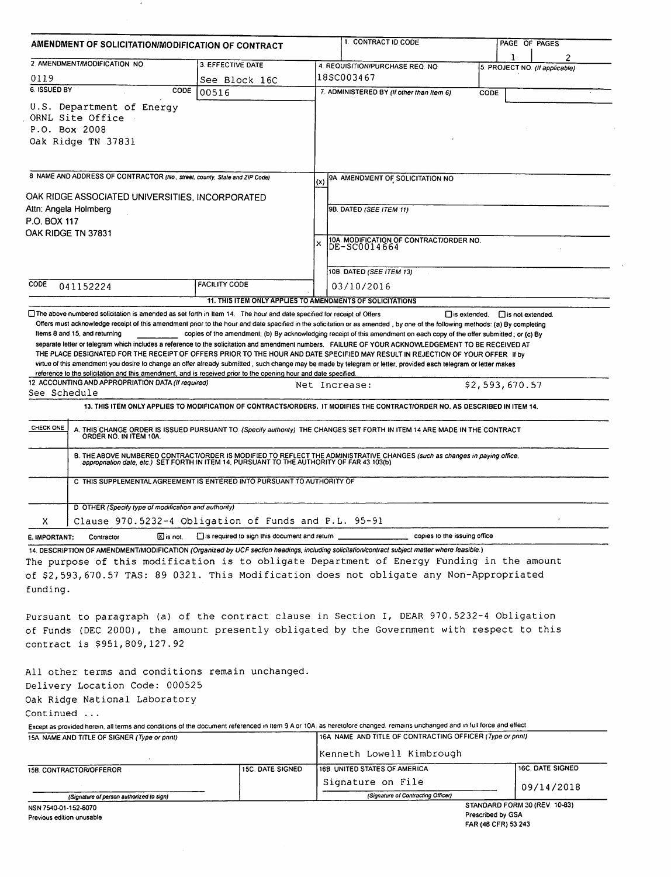| AMENDMENT OF SOLICITATION/MODIFICATION OF CONTRACT                                       |                                                                                                                                                                                                                                                                                                                                                                                                                                                                                                                                                                                                                                                                                                                                                                                               |                                                                                                              |                                                                                                                             |                              | 2                                           |  |
|------------------------------------------------------------------------------------------|-----------------------------------------------------------------------------------------------------------------------------------------------------------------------------------------------------------------------------------------------------------------------------------------------------------------------------------------------------------------------------------------------------------------------------------------------------------------------------------------------------------------------------------------------------------------------------------------------------------------------------------------------------------------------------------------------------------------------------------------------------------------------------------------------|--------------------------------------------------------------------------------------------------------------|-----------------------------------------------------------------------------------------------------------------------------|------------------------------|---------------------------------------------|--|
|                                                                                          | 2. AMENDMENT/MODIFICATION NO.                                                                                                                                                                                                                                                                                                                                                                                                                                                                                                                                                                                                                                                                                                                                                                 | 3. EFFECTIVE DATE                                                                                            | 4. REQUISITION/PURCHASE REQ. NO                                                                                             |                              | 5. PROJECT NO. (If applicable)              |  |
| 0119                                                                                     |                                                                                                                                                                                                                                                                                                                                                                                                                                                                                                                                                                                                                                                                                                                                                                                               | See Block 16C                                                                                                | 18SC003467                                                                                                                  |                              |                                             |  |
| 6. ISSUED BY                                                                             | CODE                                                                                                                                                                                                                                                                                                                                                                                                                                                                                                                                                                                                                                                                                                                                                                                          | 00516                                                                                                        | 7. ADMINISTERED BY (If other than Item 6)                                                                                   |                              | CODE                                        |  |
| P.O. Box 2008                                                                            | U.S. Department of Energy<br>ORNL Site Office<br>Oak Ridge TN 37831                                                                                                                                                                                                                                                                                                                                                                                                                                                                                                                                                                                                                                                                                                                           |                                                                                                              |                                                                                                                             |                              |                                             |  |
|                                                                                          | 8 NAME AND ADDRESS OF CONTRACTOR (No., street, county, State and ZIP Code)                                                                                                                                                                                                                                                                                                                                                                                                                                                                                                                                                                                                                                                                                                                    |                                                                                                              | 9A AMENDMENT OF SOLICITATION NO<br>(x)                                                                                      |                              |                                             |  |
|                                                                                          |                                                                                                                                                                                                                                                                                                                                                                                                                                                                                                                                                                                                                                                                                                                                                                                               |                                                                                                              |                                                                                                                             |                              |                                             |  |
| OAK RIDGE ASSOCIATED UNIVERSITIES, INCORPORATED<br>Attn: Angela Holmberg<br>P.O. BOX 117 |                                                                                                                                                                                                                                                                                                                                                                                                                                                                                                                                                                                                                                                                                                                                                                                               |                                                                                                              | 98. DATED (SEE ITEM 11)                                                                                                     |                              |                                             |  |
|                                                                                          | OAK RIDGE TN 37831                                                                                                                                                                                                                                                                                                                                                                                                                                                                                                                                                                                                                                                                                                                                                                            |                                                                                                              | 10A. MODIFICATION OF CONTRACT/ORDER NO.<br>DE-SC0014664<br>x                                                                |                              |                                             |  |
|                                                                                          |                                                                                                                                                                                                                                                                                                                                                                                                                                                                                                                                                                                                                                                                                                                                                                                               |                                                                                                              | 10B DATED (SEE ITEM 13)                                                                                                     |                              |                                             |  |
| CODE                                                                                     | 041152224                                                                                                                                                                                                                                                                                                                                                                                                                                                                                                                                                                                                                                                                                                                                                                                     | <b>FACILITY CODE</b>                                                                                         | 03/10/2016                                                                                                                  |                              |                                             |  |
|                                                                                          |                                                                                                                                                                                                                                                                                                                                                                                                                                                                                                                                                                                                                                                                                                                                                                                               |                                                                                                              | 11. THIS ITEM ONLY APPLIES TO AMENDMENTS OF SOLICITATIONS                                                                   |                              |                                             |  |
|                                                                                          | Offers must acknowledge receipt of this amendment prior to the hour and date specified in the solicitation or as amended, by one of the following methods: (a) By completing<br>Items 8 and 15, and returning<br>separate letter or telegram which includes a reference to the solicitation and amendment numbers. FAILURE OF YOUR ACKNOWLEDGEMENT TO BE RECEIVED AT<br>THE PLACE DESIGNATED FOR THE RECEIPT OF OFFERS PRIOR TO THE HOUR AND DATE SPECIFIED MAY RESULT IN REJECTION OF YOUR OFFER If by<br>virtue of this amendment you desire to change an offer already submitted, such change may be made by telegram or letter, provided each telegram or letter makes<br>reference to the solicitation and this amendment, and is received prior to the opening hour and date specified. |                                                                                                              | copies of the amendment; (b) By acknowledging receipt of this amendment on each copy of the offer submitted; or (c) By      |                              |                                             |  |
|                                                                                          | 12. ACCOUNTING AND APPROPRIATION DATA (If required)                                                                                                                                                                                                                                                                                                                                                                                                                                                                                                                                                                                                                                                                                                                                           |                                                                                                              | Net Increase:                                                                                                               |                              | \$2,593,670.57                              |  |
|                                                                                          |                                                                                                                                                                                                                                                                                                                                                                                                                                                                                                                                                                                                                                                                                                                                                                                               |                                                                                                              |                                                                                                                             |                              |                                             |  |
| See Schedule                                                                             |                                                                                                                                                                                                                                                                                                                                                                                                                                                                                                                                                                                                                                                                                                                                                                                               |                                                                                                              |                                                                                                                             |                              |                                             |  |
|                                                                                          |                                                                                                                                                                                                                                                                                                                                                                                                                                                                                                                                                                                                                                                                                                                                                                                               |                                                                                                              | 13. THIS ITEM ONLY APPLIES TO MODIFICATION OF CONTRACTS/ORDERS. IT MODIFIES THE CONTRACT/ORDER NO. AS DESCRIBED IN ITEM 14. |                              |                                             |  |
| CHECK ONE                                                                                | A. THIS CHANGE ORDER IS ISSUED PURSUANT TO: (Specify authority) THE CHANGES SET FORTH IN ITEM 14 ARE MADE IN THE CONTRACT ORDER NO. IN ITEM 10A.                                                                                                                                                                                                                                                                                                                                                                                                                                                                                                                                                                                                                                              |                                                                                                              |                                                                                                                             |                              |                                             |  |
|                                                                                          | B. THE ABOVE NUMBERED CONTRACTIORDER IS MODIFIED TO REFLECT THE ADMINISTRATIVE CHANGES (such as changes in paying office.<br>appropriation date, etc.) SET FORTH IN ITEM 14. PURSUANT TO THE AUTHORITY OF FAR 43.103(b).                                                                                                                                                                                                                                                                                                                                                                                                                                                                                                                                                                      |                                                                                                              |                                                                                                                             |                              |                                             |  |
|                                                                                          | C. THIS SUPPLEMENTAL AGREEMENT IS ENTERED INTO PURSUANT TO AUTHORITY OF                                                                                                                                                                                                                                                                                                                                                                                                                                                                                                                                                                                                                                                                                                                       |                                                                                                              |                                                                                                                             |                              |                                             |  |
|                                                                                          | D. OTHER (Specify type of modification and authority)                                                                                                                                                                                                                                                                                                                                                                                                                                                                                                                                                                                                                                                                                                                                         |                                                                                                              |                                                                                                                             |                              |                                             |  |
| X.                                                                                       | Clause 970.5232-4 Obligation of Funds and P.L. 95-91                                                                                                                                                                                                                                                                                                                                                                                                                                                                                                                                                                                                                                                                                                                                          |                                                                                                              |                                                                                                                             |                              |                                             |  |
| E. IMPORTANT:                                                                            | Contractor                                                                                                                                                                                                                                                                                                                                                                                                                                                                                                                                                                                                                                                                                                                                                                                    | $\overline{\mathbb{X}}$ is not. $\qquad \qquad$ is required to sign this document and return $\qquad \qquad$ |                                                                                                                             | copies to the issuing office |                                             |  |
| funding.                                                                                 | 14. DESCRIPTION OF AMENDMENT/MODIFICATION (Organized by UCF section headings, including solicitation/contract subject matter where feasible.)<br>The purpose of this modification is to obligate Department of Energy Funding in the amount<br>of \$2,593,670.57 TAS: 89 0321. This Modification does not obligate any Non-Appropriated                                                                                                                                                                                                                                                                                                                                                                                                                                                       |                                                                                                              |                                                                                                                             |                              |                                             |  |
|                                                                                          | Pursuant to paragraph (a) of the contract clause in Section I, DEAR 970.5232-4 Obligation<br>of Funds (DEC 2000), the amount presently obligated by the Government with respect to this<br>contract is \$951,809,127.92                                                                                                                                                                                                                                                                                                                                                                                                                                                                                                                                                                       |                                                                                                              |                                                                                                                             |                              |                                             |  |
|                                                                                          |                                                                                                                                                                                                                                                                                                                                                                                                                                                                                                                                                                                                                                                                                                                                                                                               |                                                                                                              |                                                                                                                             |                              |                                             |  |
|                                                                                          | All other terms and conditions remain unchanged.                                                                                                                                                                                                                                                                                                                                                                                                                                                                                                                                                                                                                                                                                                                                              |                                                                                                              |                                                                                                                             |                              |                                             |  |
|                                                                                          | Delivery Location Code: 000525                                                                                                                                                                                                                                                                                                                                                                                                                                                                                                                                                                                                                                                                                                                                                                |                                                                                                              |                                                                                                                             |                              |                                             |  |
|                                                                                          | Oak Ridge National Laboratory                                                                                                                                                                                                                                                                                                                                                                                                                                                                                                                                                                                                                                                                                                                                                                 |                                                                                                              |                                                                                                                             |                              |                                             |  |
|                                                                                          | Except as provided herein, all terms and conditions of the document referenced in Item 9 A or 10A, as heretofore changed, remains unchanged and in full force and effect.                                                                                                                                                                                                                                                                                                                                                                                                                                                                                                                                                                                                                     |                                                                                                              |                                                                                                                             |                              |                                             |  |
| Continued                                                                                | 15A. NAME AND TITLE OF SIGNER (Type or print)                                                                                                                                                                                                                                                                                                                                                                                                                                                                                                                                                                                                                                                                                                                                                 |                                                                                                              | 16A NAME AND TITLE OF CONTRACTING OFFICER (Type or print)                                                                   |                              |                                             |  |
|                                                                                          |                                                                                                                                                                                                                                                                                                                                                                                                                                                                                                                                                                                                                                                                                                                                                                                               |                                                                                                              | Kenneth Lowell Kimbrough                                                                                                    |                              |                                             |  |
|                                                                                          | 15B. CONTRACTOR/OFFEROR                                                                                                                                                                                                                                                                                                                                                                                                                                                                                                                                                                                                                                                                                                                                                                       | <b>15C. DATE SIGNED</b>                                                                                      | 16B. UNITED STATES OF AMERICA                                                                                               |                              | 16C. DATE SIGNED                            |  |
|                                                                                          |                                                                                                                                                                                                                                                                                                                                                                                                                                                                                                                                                                                                                                                                                                                                                                                               |                                                                                                              | Signature on File                                                                                                           |                              |                                             |  |
|                                                                                          | (Signature of person authorized to sign)                                                                                                                                                                                                                                                                                                                                                                                                                                                                                                                                                                                                                                                                                                                                                      |                                                                                                              | (Signature of Contracting Officer)                                                                                          |                              | 09/14/2018<br>STANDARD FORM 30 (REV. 10-83) |  |